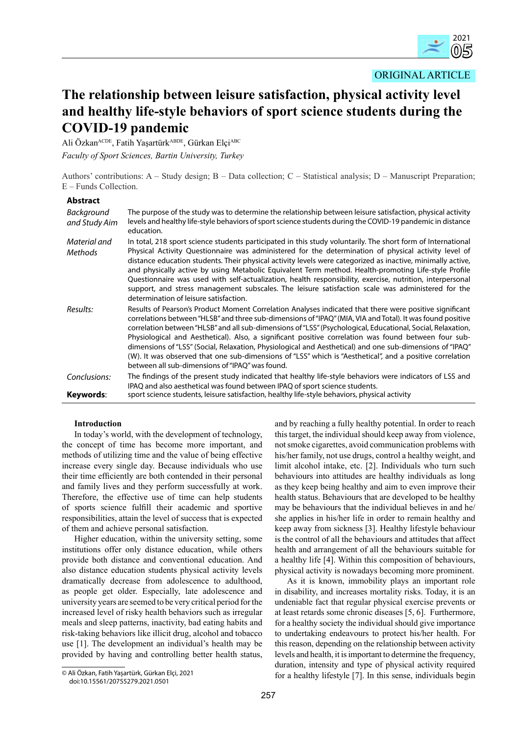ORIGINAL ARTICLE

# **The relationship between leisure satisfaction, physical activity level and healthy life-style behaviors of sport science students during the COVID-19 pandemic**

Ali Özkan<sup>ACDE</sup>, Fatih Yaşartürk<sup>ABDE</sup>, Gürkan Elçi<sup>ABC</sup> *Faculty of Sport Sciences, Bartin University, Turkey*

Authors' contributions: A – Study design; B – Data collection; C – Statistical analysis; D – Manuscript Preparation; E – Funds Collection.

# **Abstract**

| Background<br>and Study Aim    | The purpose of the study was to determine the relationship between leisure satisfaction, physical activity<br>levels and healthy life-style behaviors of sport science students during the COVID-19 pandemic in distance<br>education.                                                                                                                                                                                                                                                                                                                                                                                                                                                                                  |
|--------------------------------|-------------------------------------------------------------------------------------------------------------------------------------------------------------------------------------------------------------------------------------------------------------------------------------------------------------------------------------------------------------------------------------------------------------------------------------------------------------------------------------------------------------------------------------------------------------------------------------------------------------------------------------------------------------------------------------------------------------------------|
| Material and<br><b>Methods</b> | In total, 218 sport science students participated in this study voluntarily. The short form of International<br>Physical Activity Questionnaire was administered for the determination of physical activity level of<br>distance education students. Their physical activity levels were categorized as inactive, minimally active,<br>and physically active by using Metabolic Equivalent Term method. Health-promoting Life-style Profile<br>Questionnaire was used with self-actualization, health responsibility, exercise, nutrition, interpersonal<br>support, and stress management subscales. The leisure satisfaction scale was administered for the<br>determination of leisure satisfaction.                 |
| Results:                       | Results of Pearson's Product Moment Correlation Analyses indicated that there were positive significant<br>correlations between "HLSB" and three sub-dimensions of "IPAQ" (MIA, VIA and Total). It was found positive<br>correlation between "HLSB" and all sub-dimensions of "LSS" (Psychological, Educational, Social, Relaxation,<br>Physiological and Aesthetical). Also, a significant positive correlation was found between four sub-<br>dimensions of "LSS" (Social, Relaxation, Physiological and Aesthetical) and one sub-dimensions of "IPAQ"<br>(W). It was observed that one sub-dimensions of "LSS" which is "Aesthetical", and a positive correlation<br>between all sub-dimensions of "IPAO" was found. |
| Conclusions:<br>Keywords:      | The findings of the present study indicated that healthy life-style behaviors were indicators of LSS and<br>IPAQ and also aesthetical was found between IPAQ of sport science students.<br>sport science students, leisure satisfaction, healthy life-style behaviors, physical activity                                                                                                                                                                                                                                                                                                                                                                                                                                |

# **Introduction**

In today's world, with the development of technology, the concept of time has become more important, and methods of utilizing time and the value of being effective increase every single day. Because individuals who use their time efficiently are both contended in their personal and family lives and they perform successfully at work. Therefore, the effective use of time can help students of sports science fulfill their academic and sportive responsibilities, attain the level of success that is expected of them and achieve personal satisfaction.

Higher education, within the university setting, some institutions offer only distance education, while others provide both distance and conventional education. And also distance education students physical activity levels dramatically decrease from adolescence to adulthood, as people get older. Especially, late adolescence and university years are seemed to be very critical period for the increased level of risky health behaviors such as irregular meals and sleep patterns, inactivity, bad eating habits and risk-taking behaviors like illicit drug, alcohol and tobacco use [1]. The development an individual's health may be provided by having and controlling better health status, and by reaching a fully healthy potential. In order to reach this target, the individual should keep away from violence, not smoke cigarettes, avoid communication problems with his/her family, not use drugs, control a healthy weight, and limit alcohol intake, etc. [2]. Individuals who turn such behaviours into attitudes are healthy individuals as long as they keep being healthy and aim to even improve their health status. Behaviours that are developed to be healthy may be behaviours that the individual believes in and he/ she applies in his/her life in order to remain healthy and keep away from sickness [3]. Healthy lifestyle behaviour is the control of all the behaviours and attitudes that affect health and arrangement of all the behaviours suitable for a healthy life [4]. Within this composition of behaviours, physical activity is nowadays becoming more prominent.

As it is known, immobility plays an important role in disability, and increases mortality risks. Today, it is an undeniable fact that regular physical exercise prevents or at least retards some chronic diseases [5, 6]. Furthermore, for a healthy society the individual should give importance to undertaking endeavours to protect his/her health. For this reason, depending on the relationship between activity levels and health, it is important to determine the frequency, duration, intensity and type of physical activity required for a healthy lifestyle [7]. In this sense, individuals begin

<sup>©</sup> Ali Özkan, Fatih Yaşartürk, Gürkan Elçi, 2021 doi:10.15561/20755279.2021.0501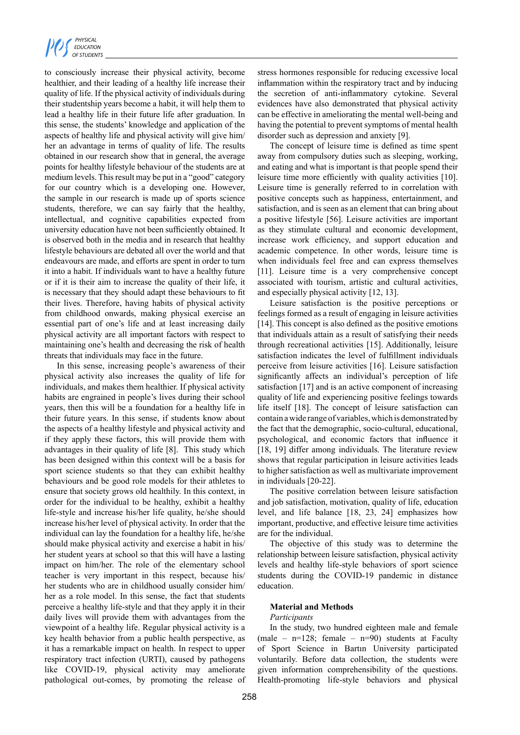

to consciously increase their physical activity, become healthier, and their leading of a healthy life increase their quality of life. If the physical activity of individuals during their studentship years become a habit, it will help them to lead a healthy life in their future life after graduation. In this sense, the students' knowledge and application of the aspects of healthy life and physical activity will give him/ her an advantage in terms of quality of life. The results obtained in our research show that in general, the average points for healthy lifestyle behaviour of the students are at medium levels. This result may be put in a "good" category for our country which is a developing one. However, the sample in our research is made up of sports science students, therefore, we can say fairly that the healthy, intellectual, and cognitive capabilities expected from university education have not been sufficiently obtained. It is observed both in the media and in research that healthy lifestyle behaviours are debated all over the world and that endeavours are made, and efforts are spent in order to turn it into a habit. If individuals want to have a healthy future or if it is their aim to increase the quality of their life, it is necessary that they should adapt these behaviours to fit their lives. Therefore, having habits of physical activity from childhood onwards, making physical exercise an essential part of one's life and at least increasing daily physical activity are all important factors with respect to maintaining one's health and decreasing the risk of health threats that individuals may face in the future.

In this sense, increasing people's awareness of their physical activity also increases the quality of life for individuals, and makes them healthier. If physical activity habits are engrained in people's lives during their school years, then this will be a foundation for a healthy life in their future years. In this sense, if students know about the aspects of a healthy lifestyle and physical activity and if they apply these factors, this will provide them with advantages in their quality of life [8]. This study which has been designed within this context will be a basis for sport science students so that they can exhibit healthy behaviours and be good role models for their athletes to ensure that society grows old healthily. In this context, in order for the individual to be healthy, exhibit a healthy life-style and increase his/her life quality, he/she should increase his/her level of physical activity. In order that the individual can lay the foundation for a healthy life, he/she should make physical activity and exercise a habit in his/ her student years at school so that this will have a lasting impact on him/her. The role of the elementary school teacher is very important in this respect, because his/ her students who are in childhood usually consider him/ her as a role model. In this sense, the fact that students perceive a healthy life-style and that they apply it in their daily lives will provide them with advantages from the viewpoint of a healthy life. Regular physical activity is a key health behavior from a public health perspective, as it has a remarkable impact on health. In respect to upper respiratory tract infection (URTI), caused by pathogens like COVID-19, physical activity may ameliorate pathological out-comes, by promoting the release of stress hormones responsible for reducing excessive local inflammation within the respiratory tract and by inducing the secretion of anti-inflammatory cytokine. Several evidences have also demonstrated that physical activity can be effective in ameliorating the mental well-being and having the potential to prevent symptoms of mental health disorder such as depression and anxiety [9].

The concept of leisure time is defined as time spent away from compulsory duties such as sleeping, working, and eating and what is important is that people spend their leisure time more efficiently with quality activities [10]. Leisure time is generally referred to in correlation with positive concepts such as happiness, entertainment, and satisfaction, and is seen as an element that can bring about a positive lifestyle [56]. Leisure activities are important as they stimulate cultural and economic development, increase work efficiency, and support education and academic competence. In other words, leisure time is when individuals feel free and can express themselves [11]. Leisure time is a very comprehensive concept associated with tourism, artistic and cultural activities, and especially physical activity [12, 13].

Leisure satisfaction is the positive perceptions or feelings formed as a result of engaging in leisure activities [14]. This concept is also defined as the positive emotions that individuals attain as a result of satisfying their needs through recreational activities [15]. Additionally, leisure satisfaction indicates the level of fulfillment individuals perceive from leisure activities [16]. Leisure satisfaction significantly affects an individual's perception of life satisfaction [17] and is an active component of increasing quality of life and experiencing positive feelings towards life itself [18]. The concept of leisure satisfaction can contain a wide range of variables, which is demonstrated by the fact that the demographic, socio-cultural, educational, psychological, and economic factors that influence it [18, 19] differ among individuals. The literature review shows that regular participation in leisure activities leads to higher satisfaction as well as multivariate improvement in individuals [20-22].

The positive correlation between leisure satisfaction and job satisfaction, motivation, quality of life, education level, and life balance [18, 23, 24] emphasizes how important, productive, and effective leisure time activities are for the individual.

The objective of this study was to determine the relationship between leisure satisfaction, physical activity levels and healthy life-style behaviors of sport science students during the COVID-19 pandemic in distance education.

## **Material and Methods**

#### *Participants*

In the study, two hundred eighteen male and female (male –  $n=128$ ; female –  $n=90$ ) students at Faculty of Sport Science in Bartın University participated voluntarily. Before data collection, the students were given information comprehensibility of the questions. Health-promoting life-style behaviors and physical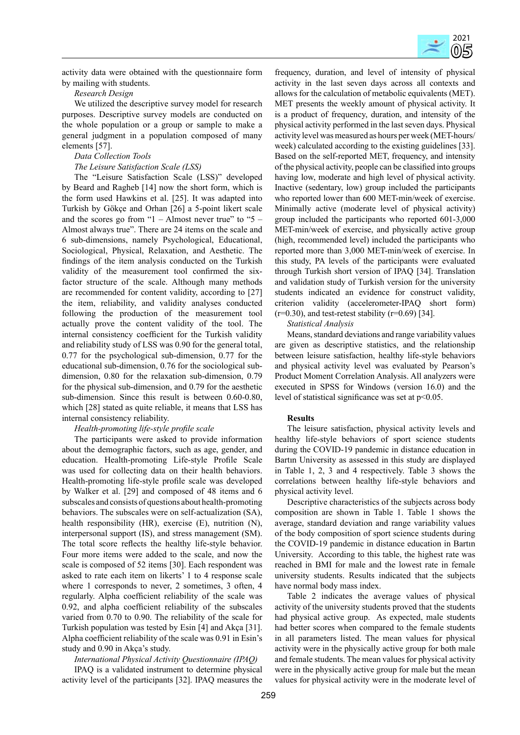

activity data were obtained with the questionnaire form by mailing with students.

# *Research Design*

We utilized the descriptive survey model for research purposes. Descriptive survey models are conducted on the whole population or a group or sample to make a general judgment in a population composed of many elements [57].

## *Data Collection Tools*

## *The Leisure Satisfaction Scale (LSS)*

The "Leisure Satisfaction Scale (LSS)" developed by Beard and Ragheb [14] now the short form, which is the form used Hawkins et al. [25]. It was adapted into Turkish by Gökçe and Orhan [26] a 5-point likert scale and the scores go from " $1 -$ Almost never true" to " $5 -$ Almost always true". There are 24 items on the scale and 6 sub-dimensions, namely Psychological, Educational, Sociological, Physical, Relaxation, and Aesthetic. The findings of the item analysis conducted on the Turkish validity of the measurement tool confirmed the sixfactor structure of the scale. Although many methods are recommended for content validity, according to [27] the item, reliability, and validity analyses conducted following the production of the measurement tool actually prove the content validity of the tool. The internal consistency coefficient for the Turkish validity and reliability study of LSS was 0.90 for the general total, 0.77 for the psychological sub-dimension, 0.77 for the educational sub-dimension, 0.76 for the sociological subdimension, 0.80 for the relaxation sub-dimension, 0.79 for the physical sub-dimension, and 0.79 for the aesthetic sub-dimension. Since this result is between 0.60-0.80, which [28] stated as quite reliable, it means that LSS has internal consistency reliability.

## *Health-promoting life-style profile scale*

The participants were asked to provide information about the demographic factors, such as age, gender, and education. Health-promoting Life-style Profile Scale was used for collecting data on their health behaviors. Health-promoting life-style profile scale was developed by Walker et al. [29] and composed of 48 items and 6 subscales and consists of questions about health-promoting behaviors. The subscales were on self-actualization (SA), health responsibility (HR), exercise (E), nutrition (N), interpersonal support (IS), and stress management (SM). The total score reflects the healthy life-style behavior. Four more items were added to the scale, and now the scale is composed of 52 items [30]. Each respondent was asked to rate each item on likerts' 1 to 4 response scale where 1 corresponds to never, 2 sometimes, 3 often, 4 regularly. Alpha coefficient reliability of the scale was 0.92, and alpha coefficient reliability of the subscales varied from 0.70 to 0.90. The reliability of the scale for Turkish population was tested by Esin [4] and Akça [31]. Alpha coefficient reliability of the scale was 0.91 in Esin's study and 0.90 in Akça's study.

## *International Physical Activity Questionnaire (IPAQ)*

IPAQ is a validated instrument to determine physical activity level of the participants [32]. IPAQ measures the

frequency, duration, and level of intensity of physical activity in the last seven days across all contexts and allows for the calculation of metabolic equivalents (MET). MET presents the weekly amount of physical activity. It is a product of frequency, duration, and intensity of the physical activity performed in the last seven days. Physical activity level was measured as hours per week (MET-hours/ week) calculated according to the existing guidelines [33]. Based on the self-reported MET, frequency, and intensity of the physical activity, people can be classified into groups having low, moderate and high level of physical activity. Inactive (sedentary, low) group included the participants who reported lower than 600 MET-min/week of exercise. Minimally active (moderate level of physical activity) group included the participants who reported 601-3,000 MET-min/week of exercise, and physically active group (high, recommended level) included the participants who reported more than 3,000 MET-min/week of exercise. In this study, PA levels of the participants were evaluated through Turkish short version of IPAQ [34]. Translation and validation study of Turkish version for the university students indicated an evidence for construct validity, criterion validity (accelerometer-IPAQ short form)  $(r=0.30)$ , and test-retest stability  $(r=0.69)$  [34].

## *Statistical Analysis*

Means, standard deviations and range variability values are given as descriptive statistics, and the relationship between leisure satisfaction, healthy life-style behaviors and physical activity level was evaluated by Pearson's Product Moment Correlation Analysis. All analyzers were executed in SPSS for Windows (version 16.0) and the level of statistical significance was set at p<0.05.

#### **Results**

The leisure satisfaction, physical activity levels and healthy life-style behaviors of sport science students during the COVID-19 pandemic in distance education in Bartın University as assessed in this study are displayed in Table 1, 2, 3 and 4 respectively. Table 3 shows the correlations between healthy life-style behaviors and physical activity level.

Descriptive characteristics of the subjects across body composition are shown in Table 1. Table 1 shows the average, standard deviation and range variability values of the body composition of sport science students during the COVID-19 pandemic in distance education in Bartın University. According to this table, the highest rate was reached in BMI for male and the lowest rate in female university students. Results indicated that the subjects have normal body mass index.

Table 2 indicates the average values of physical activity of the university students proved that the students had physical active group. As expected, male students had better scores when compared to the female students in all parameters listed. The mean values for physical activity were in the physically active group for both male and female students. The mean values for physical activity were in the physically active group for male but the mean values for physical activity were in the moderate level of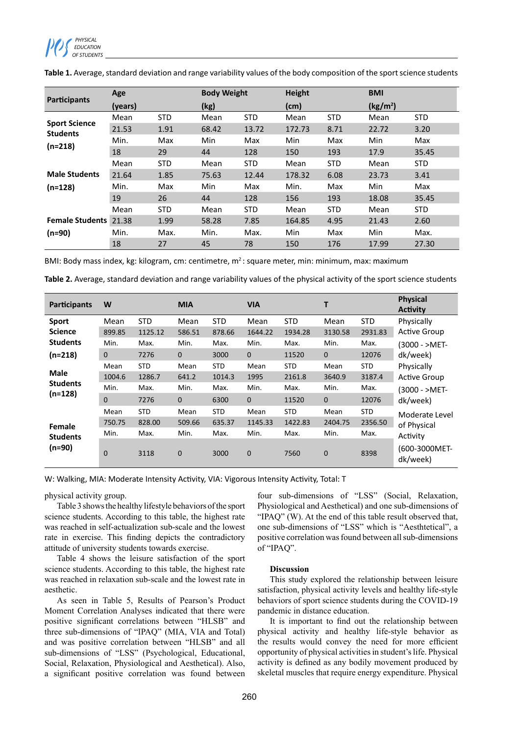

|                              | Age     |            | <b>Body Weight</b> |            | <b>Height</b> |            | <b>BMI</b>           |            |  |
|------------------------------|---------|------------|--------------------|------------|---------------|------------|----------------------|------------|--|
| <b>Participants</b>          | (years) |            | (kg)               |            | (cm)          |            | (kg/m <sup>2</sup> ) |            |  |
| <b>Sport Science</b>         | Mean    | <b>STD</b> | Mean               | <b>STD</b> | Mean          | <b>STD</b> | Mean                 | <b>STD</b> |  |
| <b>Students</b>              | 21.53   | 1.91       | 68.42              | 13.72      | 172.73        | 8.71       | 22.72                | 3.20       |  |
|                              | Min.    | Max        | Min                | Max        | Min           | Max        | Min                  | Max        |  |
| $(n=218)$                    | 18      | 29         | 44                 | 128        | 150           | 193        | 17.9                 | 35.45      |  |
|                              | Mean    | <b>STD</b> | Mean               | <b>STD</b> | Mean          | <b>STD</b> | Mean                 | <b>STD</b> |  |
| <b>Male Students</b>         | 21.64   | 1.85       | 75.63              | 12.44      | 178.32        | 6.08       | 23.73                | 3.41       |  |
| $(n=128)$                    | Min.    | Max        | Min                | Max        | Min.          | Max        | Min                  | Max        |  |
|                              | 19      | 26         | 44                 | 128        | 156           | 193        | 18.08                | 35.45      |  |
|                              | Mean    | <b>STD</b> | Mean               | <b>STD</b> | Mean          | <b>STD</b> | Mean                 | <b>STD</b> |  |
| <b>Female Students</b> 21.38 |         | 1.99       | 58.28              | 7.85       | 164.85        | 4.95       | 21.43                | 2.60       |  |
| $(n=90)$                     | Min.    | Max.       | Min.               | Max.       | Min           | Max        | Min                  | Max.       |  |
|                              | 18      | 27         | 45                 | 78         | 150           | 176        | 17.99                | 27.30      |  |

**Table 1.** Average, standard deviation and range variability values of the body composition of the sport science students

BMI: Body mass index, kg: kilogram, cm: centimetre, m<sup>2</sup>: square meter, min: minimum, max: maximum

**Table 2.** Average, standard deviation and range variability values of the physical activity of the sport science students

| <b>Participants</b>                         | W                    |                       | <b>MIA</b>           |                      | <b>VIA</b>           |                       | т                    |                       | <b>Physical</b><br><b>Activity</b> |
|---------------------------------------------|----------------------|-----------------------|----------------------|----------------------|----------------------|-----------------------|----------------------|-----------------------|------------------------------------|
| <b>Sport</b><br><b>Science</b>              | Mean<br>899.85       | <b>STD</b><br>1125.12 | Mean<br>586.51       | <b>STD</b><br>878.66 | Mean<br>1644.22      | <b>STD</b><br>1934.28 | Mean<br>3130.58      | <b>STD</b><br>2931.83 | Physically<br><b>Active Group</b>  |
| <b>Students</b><br>$(n=218)$                | Min.<br>$\mathbf 0$  | Max.<br>7276          | Min.<br>$\mathbf{0}$ | Max.<br>3000         | Min.<br>$\mathbf{0}$ | Max.<br>11520         | Min.<br>$\mathbf{0}$ | Max.<br>12076         | (3000 - >MET-<br>dk/week)          |
| <b>Male</b><br><b>Students</b><br>$(n=128)$ | Mean<br>1004.6       | <b>STD</b><br>1286.7  | Mean<br>641.2        | <b>STD</b><br>1014.3 | Mean<br>1995         | <b>STD</b><br>2161.8  | Mean<br>3640.9       | <b>STD</b><br>3187.4  | Physically<br><b>Active Group</b>  |
|                                             | Min.<br>$\mathbf{0}$ | Max.<br>7276          | Min.<br>$\mathbf{0}$ | Max.<br>6300         | Min.<br>$\mathbf{0}$ | Max.<br>11520         | Min.<br>$\mathbf{0}$ | Max.<br>12076         | (3000 - >MET-<br>dk/week)          |
| Female<br><b>Students</b><br>(n=90)         | Mean<br>750.75       | <b>STD</b><br>828.00  | Mean<br>509.66       | <b>STD</b><br>635.37 | Mean<br>1145.33      | <b>STD</b><br>1422.83 | Mean<br>2404.75      | <b>STD</b><br>2356.50 | Moderate Level<br>of Physical      |
|                                             | Min.                 | Max.                  | Min.                 | Max.                 | Min.                 | Max.                  | Min.                 | Max.                  | Activity<br>(600-3000MET-          |
|                                             | $\Omega$             | 3118                  | $\overline{0}$       | 3000                 | $\mathbf{0}$         | 7560                  | $\mathbf 0$          | 8398                  | dk/week)                           |

W: Walking, MIA: Moderate Intensity Activity, VIA: Vigorous Intensity Activity, Total: T

physical activity group.

Table 3 shows the healthy lifestyle behaviors of the sport science students. According to this table, the highest rate was reached in self-actualization sub-scale and the lowest rate in exercise. This finding depicts the contradictory attitude of university students towards exercise.

Table 4 shows the leisure satisfaction of the sport science students. According to this table, the highest rate was reached in relaxation sub-scale and the lowest rate in aesthetic.

As seen in Table 5, Results of Pearson's Product Moment Correlation Analyses indicated that there were positive significant correlations between "HLSB" and three sub-dimensions of "IPAQ" (MIA, VIA and Total) and was positive correlation between "HLSB" and all sub-dimensions of "LSS" (Psychological, Educational, Social, Relaxation, Physiological and Aesthetical). Also, a significant positive correlation was found between

four sub-dimensions of "LSS" (Social, Relaxation, Physiological and Aesthetical) and one sub-dimensions of "IPAQ" (W). At the end of this table result observed that, one sub-dimensions of "LSS" which is "Aesthtetical", a positive correlation was found between all sub-dimensions of "IPAQ".

## **Discussion**

This study explored the relationship between leisure satisfaction, physical activity levels and healthy life-style behaviors of sport science students during the COVID-19 pandemic in distance education.

It is important to find out the relationship between physical activity and healthy life-style behavior as the results would convey the need for more efficient opportunity of physical activities in student's life. Physical activity is defined as any bodily movement produced by skeletal muscles that require energy expenditure. Physical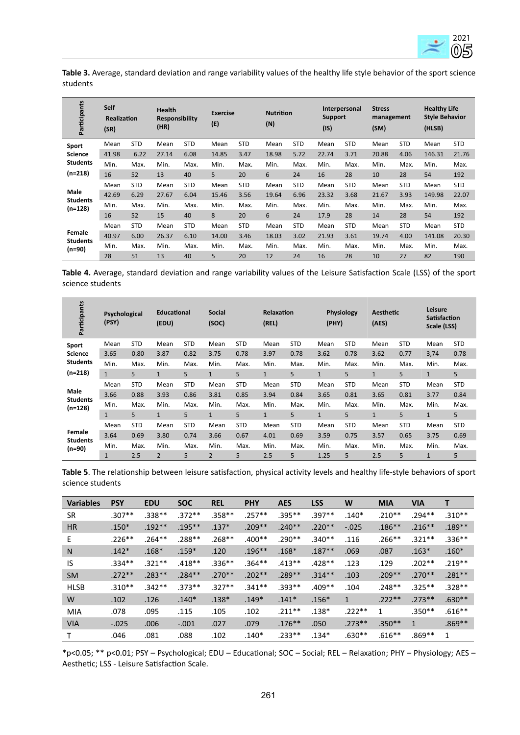

**Table 3.** Average, standard deviation and range variability values of the healthy life style behavior of the sport science students

| Participants                 | <b>Self</b><br><b>Realization</b><br>(SR) |            |       |            | <b>Health</b><br>(HR) |            | <b>Exercise</b><br><b>Responsibility</b><br>(E) |            | <b>Nutrition</b><br>(N) |            | Interpersonal<br><b>Support</b><br>(1S) |            | <b>Stress</b><br>management<br>(SM) |            | <b>Healthy Life</b><br><b>Style Behavior</b><br>(HLSB) |  |
|------------------------------|-------------------------------------------|------------|-------|------------|-----------------------|------------|-------------------------------------------------|------------|-------------------------|------------|-----------------------------------------|------------|-------------------------------------|------------|--------------------------------------------------------|--|
| Sport                        | Mean                                      | <b>STD</b> | Mean  | <b>STD</b> | Mean                  | <b>STD</b> | Mean                                            | <b>STD</b> | Mean                    | <b>STD</b> | Mean                                    | <b>STD</b> | Mean                                | <b>STD</b> |                                                        |  |
| <b>Science</b>               | 41.98                                     | 6.22       | 27.14 | 6.08       | 14.85                 | 3.47       | 18.98                                           | 5.72       | 22.74                   | 3.71       | 20.88                                   | 4.06       | 146.31                              | 21.76      |                                                        |  |
| <b>Students</b>              | Min.                                      | Max.       | Min.  | Max.       | Min.                  | Max.       | Min.                                            | Max.       | Min.                    | Max.       | Min.                                    | Max.       | Min.                                | Max.       |                                                        |  |
| $(n=218)$                    | 16                                        | 52         | 13    | 40         | 5                     | 20         | 6                                               | 24         | 16                      | 28         | 10                                      | 28         | 54                                  | 192        |                                                        |  |
|                              | Mean                                      | <b>STD</b> | Mean  | <b>STD</b> | Mean                  | <b>STD</b> | Mean                                            | <b>STD</b> | Mean                    | <b>STD</b> | Mean                                    | <b>STD</b> | Mean                                | <b>STD</b> |                                                        |  |
| Male                         | 42.69                                     | 6.29       | 27.67 | 6.04       | 15.46                 | 3.56       | 19.64                                           | 6.96       | 23.32                   | 3.68       | 21.67                                   | 3.93       | 149.98                              | 22.07      |                                                        |  |
| <b>Students</b><br>$(n=128)$ | Min.                                      | Max.       | Min.  | Max.       | Min.                  | Max.       | Min.                                            | Max.       | Min.                    | Max.       | Min.                                    | Max.       | Min.                                | Max.       |                                                        |  |
|                              | 16                                        | 52         | 15    | 40         | 8                     | 20         | 6                                               | 24         | 17.9                    | 28         | 14                                      | 28         | 54                                  | 192        |                                                        |  |
|                              | Mean                                      | <b>STD</b> | Mean  | <b>STD</b> | Mean                  | <b>STD</b> | Mean                                            | <b>STD</b> | Mean                    | <b>STD</b> | Mean                                    | <b>STD</b> | Mean                                | <b>STD</b> |                                                        |  |
| Female                       | 40.97                                     | 6.00       | 26.37 | 6.10       | 14.00                 | 3.46       | 18.03                                           | 3.02       | 21.93                   | 3.61       | 19.74                                   | 4.00       | 141.08                              | 20.30      |                                                        |  |
| <b>Students</b><br>(n=90)    | Min.                                      | Max.       | Min.  | Max.       | Min.                  | Max.       | Min.                                            | Max.       | Min.                    | Max.       | Min.                                    | Max.       | Min.                                | Max.       |                                                        |  |
|                              | 28                                        | 51         | 13    | 40         | 5                     | 20         | 12                                              | 24         | 16                      | 28         | 10                                      | 27         | 82                                  | 190        |                                                        |  |

**Table 4.** Average, standard deviation and range variability values of the Leisure Satisfaction Scale (LSS) of the sport science students

| Participants              | <b>Educational</b><br>Psychological<br>(PSY)<br>(EDU) |            |                | <b>Social</b><br><b>Relaxation</b><br>(SOC)<br>(REL) |                |            |              | (PHY)      | <b>Physiology</b> | <b>Aesthetic</b><br>(AES) |              | Leisure<br><b>Satisfaction</b><br>Scale (LSS) |              |            |
|---------------------------|-------------------------------------------------------|------------|----------------|------------------------------------------------------|----------------|------------|--------------|------------|-------------------|---------------------------|--------------|-----------------------------------------------|--------------|------------|
| Sport                     | Mean                                                  | <b>STD</b> | Mean           | <b>STD</b>                                           | Mean           | <b>STD</b> | Mean         | <b>STD</b> | Mean              | <b>STD</b>                | Mean         | <b>STD</b>                                    | Mean         | <b>STD</b> |
| <b>Science</b>            | 3.65                                                  | 0.80       | 3.87           | 0.82                                                 | 3.75           | 0.78       | 3.97         | 0.78       | 3.62              | 0.78                      | 3.62         | 0.77                                          | 3,74         | 0.78       |
| <b>Students</b>           | Min.                                                  | Max.       | Min.           | Max.                                                 | Min.           | Max.       | Min.         | Max.       | Min.              | Max.                      | Min.         | Max.                                          | Min.         | Max.       |
| $(n=218)$                 | $\mathbf{1}$                                          | 5          | $\mathbf{1}$   | 5                                                    | $\mathbf{1}$   | 5          | $\mathbf{1}$ | 5          | $\mathbf{1}$      | 5                         | $\mathbf{1}$ | 5                                             | $\mathbf{1}$ | 5          |
|                           | Mean                                                  | <b>STD</b> | Mean           | <b>STD</b>                                           | Mean           | <b>STD</b> | Mean         | <b>STD</b> | Mean              | <b>STD</b>                | Mean         | <b>STD</b>                                    | Mean         | <b>STD</b> |
| Male<br><b>Students</b>   | 3.66                                                  | 0.88       | 3.93           | 0.86                                                 | 3.81           | 0.85       | 3.94         | 0.84       | 3.65              | 0.81                      | 3.65         | 0.81                                          | 3.77         | 0.84       |
| $(n=128)$                 | Min.                                                  | Max.       | Min.           | Max.                                                 | Min.           | Max.       | Min.         | Max.       | Min.              | Max.                      | Min.         | Max.                                          | Min.         | Max.       |
|                           | $\mathbf{1}$                                          | 5          | $\mathbf{1}$   | 5                                                    | $\mathbf{1}$   | 5          | $\mathbf{1}$ | 5          | $\mathbf{1}$      | 5                         | $\mathbf{1}$ | 5                                             | $\mathbf{1}$ | 5          |
|                           | Mean                                                  | <b>STD</b> | Mean           | <b>STD</b>                                           | Mean           | <b>STD</b> | Mean         | <b>STD</b> | Mean              | <b>STD</b>                | Mean         | <b>STD</b>                                    | Mean         | <b>STD</b> |
| Female<br><b>Students</b> | 3.64                                                  | 0.69       | 3.80           | 0.74                                                 | 3.66           | 0.67       | 4.01         | 0.69       | 3.59              | 0.75                      | 3.57         | 0.65                                          | 3.75         | 0.69       |
| (n=90)                    | Min.                                                  | Max.       | Min.           | Max.                                                 | Min.           | Max.       | Min.         | Max.       | Min.              | Max.                      | Min.         | Max.                                          | Min.         | Max.       |
|                           | $\mathbf{1}$                                          | 2.5        | $\overline{2}$ | 5                                                    | $\overline{2}$ | 5          | 2.5          | 5          | 1.25              | 5                         | 2.5          | 5                                             | 1            | 5          |

**Table 5**. The relationship between leisure satisfaction, physical activity levels and healthy life-style behaviors of sport science students

| <b>Variables</b> | <b>PSY</b> | <b>EDU</b> | <b>SOC</b> | <b>REL</b> | <b>PHY</b> | <b>AES</b> | <b>LSS</b> | W        | <b>MIA</b>   | <b>VIA</b>   | Т         |
|------------------|------------|------------|------------|------------|------------|------------|------------|----------|--------------|--------------|-----------|
| <b>SR</b>        | $.307**$   | $.338**$   | $.372**$   | $.358***$  | $.257**$   | $.395***$  | $.397**$   | $.140*$  | $.210**$     | $.294**$     | $.310**$  |
| HR               | $.150*$    | $.192**$   | $.195***$  | $.137*$    | $.209**$   | $.240**$   | $.220**$   | $-.025$  | $.186***$    | $.216***$    | $.189**$  |
| E                | $.226**$   | $.264**$   | $.288**$   | $.268**$   | $.400**$   | $.290**$   | $.340**$   | .116     | $.266***$    | $.321**$     | $.336**$  |
| N                | $.142*$    | $.168*$    | $.159*$    | .120       | $.196***$  | $.168*$    | $.187**$   | .069     | .087         | $.163*$      | $.160*$   |
| IS               | $.334***$  | $.321**$   | $.418**$   | $.336**$   | $.364**$   | $.413**$   | $.428**$   | .123     | .129         | $.202**$     | $.219**$  |
| <b>SM</b>        | $.272**$   | $.283**$   | $.284***$  | $.270**$   | $.202**$   | $.289**$   | $.314**$   | .103     | $.209**$     | $.270**$     | $.281**$  |
| <b>HLSB</b>      | $.310**$   | $.342**$   | $.373**$   | $.327**$   | $.341**$   | $.393**$   | $.409**$   | .104     | $.248**$     | $.325**$     | $.328**$  |
| W                | .102       | .126       | $.140*$    | $.138*$    | $.149*$    | $.141*$    | $.156*$    | 1        | $.222**$     | $.273**$     | $.630**$  |
| <b>MIA</b>       | .078       | .095       | .115       | .105       | .102       | $.211***$  | $.138*$    | $.222**$ | $\mathbf{1}$ | $.350**$     | $.616**$  |
| <b>VIA</b>       | $-.025$    | .006       | $-.001$    | .027       | .079       | $.176***$  | .050       | $.273**$ | $.350**$     | $\mathbf{1}$ | $.869***$ |
|                  | .046       | .081       | .088       | .102       | $.140*$    | $.233**$   | $.134*$    | $.630**$ | $.616**$     | $.869**$     | 1         |

\*p<0.05; \*\* p<0.01; PSY – Psychological; EDU – Educational; SOC – Social; REL – Relaxation; PHY – Physiology; AES – Aesthetic; LSS - Leisure Satisfaction Scale.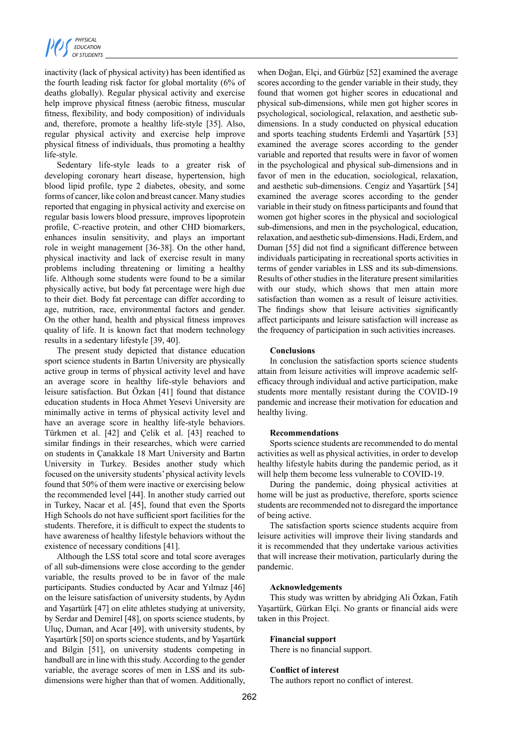

inactivity (lack of physical activity) has been identified as the fourth leading risk factor for global mortality (6% of deaths globally). Regular physical activity and exercise help improve physical fitness (aerobic fitness, muscular fitness, flexibility, and body composition) of individuals and, therefore, promote a healthy life-style [35]. Also, regular physical activity and exercise help improve physical fitness of individuals, thus promoting a healthy life-style.

Sedentary life-style leads to a greater risk of developing coronary heart disease, hypertension, high blood lipid profile, type 2 diabetes, obesity, and some forms of cancer, like colon and breast cancer. Many studies reported that engaging in physical activity and exercise on regular basis lowers blood pressure, improves lipoprotein profile, C-reactive protein, and other CHD biomarkers, enhances insulin sensitivity, and plays an important role in weight management [36-38]. On the other hand, physical inactivity and lack of exercise result in many problems including threatening or limiting a healthy life. Although some students were found to be a similar physically active, but body fat percentage were high due to their diet. Body fat percentage can differ according to age, nutrition, race, environmental factors and gender. On the other hand, health and physical fitness improves quality of life. It is known fact that modern technology results in a sedentary lifestyle [39, 40].

The present study depicted that distance education sport science students in Bartın University are physically active group in terms of physical activity level and have an average score in healthy life-style behaviors and leisure satisfaction. But Özkan [41] found that distance education students in Hoca Ahmet Yesevi University are minimally active in terms of physical activity level and have an average score in healthy life-style behaviors. Türkmen et al. [42] and Çelik et al. [43] reached to similar findings in their researches, which were carried on students in Çanakkale 18 Mart University and Bartın University in Turkey. Besides another study which focused on the university students' physical activity levels found that 50% of them were inactive or exercising below the recommended level [44]. In another study carried out in Turkey, Nacar et al. [45], found that even the Sports High Schools do not have sufficient sport facilities for the students. Therefore, it is difficult to expect the students to have awareness of healthy lifestyle behaviors without the existence of necessary conditions [41].

Although the LSS total score and total score averages of all sub-dimensions were close according to the gender variable, the results proved to be in favor of the male participants. Studies conducted by Acar and Yılmaz [46] on the leisure satisfaction of university students, by Aydın and Yaşartürk [47] on elite athletes studying at university, by Serdar and Demirel [48], on sports science students, by Uluç, Duman, and Acar [49], with university students, by Yaşartürk [50] on sports science students, and by Yaşartürk and Bilgin [51], on university students competing in handball are in line with this study. According to the gender variable, the average scores of men in LSS and its subdimensions were higher than that of women. Additionally,

when Doğan, Elçi, and Gürbüz [52] examined the average scores according to the gender variable in their study, they found that women got higher scores in educational and physical sub-dimensions, while men got higher scores in psychological, sociological, relaxation, and aesthetic subdimensions. In a study conducted on physical education and sports teaching students Erdemli and Yaşartürk [53] examined the average scores according to the gender variable and reported that results were in favor of women in the psychological and physical sub-dimensions and in favor of men in the education, sociological, relaxation, and aesthetic sub-dimensions. Cengiz and Yaşartürk [54] examined the average scores according to the gender variable in their study on fitness participants and found that women got higher scores in the physical and sociological sub-dimensions, and men in the psychological, education, relaxation, and aesthetic sub-dimensions. Hadi, Erdem, and Duman [55] did not find a significant difference between individuals participating in recreational sports activities in terms of gender variables in LSS and its sub-dimensions. Results of other studies in the literature present similarities with our study, which shows that men attain more satisfaction than women as a result of leisure activities. The findings show that leisure activities significantly affect participants and leisure satisfaction will increase as the frequency of participation in such activities increases.

## **Conclusions**

In conclusion the satisfaction sports science students attain from leisure activities will improve academic selfefficacy through individual and active participation, make students more mentally resistant during the COVID-19 pandemic and increase their motivation for education and healthy living.

#### **Recommendations**

Sports science students are recommended to do mental activities as well as physical activities, in order to develop healthy lifestyle habits during the pandemic period, as it will help them become less vulnerable to COVID-19.

During the pandemic, doing physical activities at home will be just as productive, therefore, sports science students are recommended not to disregard the importance of being active.

The satisfaction sports science students acquire from leisure activities will improve their living standards and it is recommended that they undertake various activities that will increase their motivation, particularly during the pandemic.

## **Acknowledgements**

This study was written by abridging Ali Özkan, Fatih Yaşartürk, Gürkan Elçi. No grants or financial aids were taken in this Project.

# **Financial support**

There is no financial support.

## **Conflict of interest**

The authors report no conflict of interest.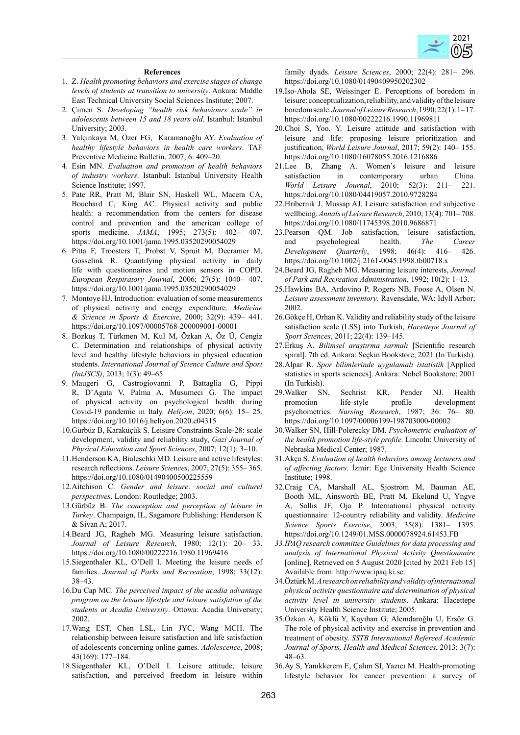

#### **References**

- 1. Z. *Health promoting behaviors and exercise stages of change levels of students at transition to university*. Ankara: Middle East Technical University Social Sciences Institute; 2007.
- 2. Çimen S. *Developing "health risk behaviours scale" in adolescents between 15 and 18 years old*. Istanbul: Istanbul University; 2003.
- 3. Yalçınkaya M, Özer FG, Karamanoğlu AY. *Evaluation of healthy lifestyle behaviors in health care workers*. TAF Preventive Medicine Bulletin, 2007; 6: 409–20.
- 4. Esin MN. *Evaluation and promotion of health behaviors of industry workers*. Istanbul: Istanbul University Health Science Institute; 1997.
- 5. Pate RR, Pratt M, Blair SN, Haskell WL, Macera CA, Bouchard C, King AC. Physical activity and public health: a recommendation from the centers for disease control and prevention and the american college of sports medicine. *JAMA*, 1995; 273(5): 402– 407. https://doi.org/10.1001/jama.1995.03520290054029
- 6. Pitta F, Troosters T, Probst V, Spruit M, Decramer M, Gosselink R. Quantifying physical activity in daily life with questionnaires and motion sensors in COPD. *European Respiratory Journal*, 2006; 27(5): 1040– 407. https://doi.org/10.1001/jama.1995.03520290054029
- 7. Montoye HJ. Introduction: evaluation of some measurements of physical activity and energy expenditure. *Medicine & Science in Sports & Exercise*, 2000; 32(9): 439– 441. https://doi.org/10.1097/00005768-200009001-00001
- 8. Bozkuş T, Türkmen M, Kul M, Özkan A, Öz Ü, Cengiz C. Determination and relationships of physical activity level and healthy lifestyle behaviors in physical education students. *International Journal of Science Culture and Sport (IntJSCS)*, 2013; 1(3): 49–65.
- 9. Maugeri G, Castrogiovanni P, Battaglia G, Pippi R, D'Agata V, Palma A, Musumeci G. The impact of physical activity on psychological health during Covid-19 pandemic in Italy. *Heliyon*, 2020; 6(6): 15– 25. https://doi.org/10.1016/j.heliyon.2020.e04315
- 10.Gürbüz B, Karaküçük S. Leisure Constraints Scale-28: scale development, validity and reliability study, *Gazi Journal of Physical Education and Sport Sciences*, 2007; 12(1): 3–10.
- 11.Henderson KA, Bialeschki MD. Leisure and active lifestyles: research reflections. *Leisure Sciences*, 2007; 27(5): 355– 365. https://doi.org/10.1080/01490400500225559
- 12.Aitchison C. *Gender and leisure: social and culturel perspectives*. London: Routledge; 2003.
- 13.Gürbüz B. *The conception and perception of leisure in Turkey*. Champaign, IL, Sagamore Publishing: Henderson K & Sivan A; 2017.
- 14.Beard JG, Ragheb MG. Measuring leisure satisfaction. *Journal of Leisure Research*, 1980; 12(1): 20– 33. https://doi.org/10.1080/00222216.1980.11969416
- 15.Siegenthaler KL, O'Dell I. Meeting the leisure needs of families. *Journal of Parks and Recreation*, 1998; 33(12): 38–43.
- 16.Du Cap MC. *The perceived impact of the acadia advantage program on the leisure lifestyle and leisure satisfation of the students at Acadia University*. Ottowa: Acadia University; 2002.
- 17.Wang EST, Chen LSL, Lin JYC, Wang MCH. The relationship between leisure satisfaction and life satisfaction of adolescents concerning online games. *Adolescence*, 2008; 43(169): 177–184.
- 18.Siegenthaler KL, O'Dell I. Leisure attitude, leisure satisfaction, and perceived freedom in leisure within

family dyads. *Leisure Sciences*, 2000; 22(4): 281– 296. https://doi.org/10.1080/01490409950202302

- 19.Iso-Ahola SE, Weissinger E. Perceptions of boredom in leisure: conceptualization, reliability, and validity of the leisure boredom scale. *Journal of Leisure Research*, 1990; 22(1): 1– 17. https://doi.org/10.1080/00222216.1990.11969811
- 20.Choi S, Yoo, Y. Leisure attitude and satisfaction with leisure and life: proposing leisure prioritization and justification, *World Leisure Journal*, 2017; 59(2): 140– 155. https://doi.org/10.1080/16078055.2016.1216886
- 21.Lee B, Zhang A. Women's leisure and leisure satisfaction in contemporary urban China. *World Leisure Journal*, 2010; 52(3): 211– 221. https://doi.org/10.1080/04419057.2010.9728284
- 22.Hribernik J, Mussap AJ. Leisure satisfaction and subjective wellbeing. *Annals of Leisure Research*, 2010; 13(4): 701– 708. https://doi.org/10.1080/11745398.2010.9686871
- 23.Pearson QM. Job satisfaction, leisure satisfaction, and psychological health. *The Career Development Quarterly*, 1998; 46(4): 416– 426. https://doi.org/10.1002/j.2161-0045.1998.tb00718.x
- 24.Beard JG, Ragheb MG. Measuring leisure interests, *Journal of Park and Recreation Administration*, 1992; 10(2): 1–13.
- 25.Hawkins BA, Ardovino P, Rogers NB, Foose A, Olsen N. *Leisure assessment inventory*. Ravensdale, WA: Idyll Arbor; 2002.
- 26.Gökçe H, Orhan K. Validity and reliability study of the leisure satisfaction scale (LSS) into Turkish, *Hacettepe Journal of Sport Sciences*, 2011; 22(4): 139–145.
- 27.Erkuş A. *Bilimsel araştırma sarmalı* [Scientific research spiral]. 7th ed. Ankara: Seçkin Bookstore; 2021 (In Turkish).
- 28.Alpar R. *Spor bilimlerinde uygulamalı istatistik* [Applied statistics in sports sciences]. Ankara: Nobel Bookstore; 2001 (In Turkish).<br>29. Walker SI
- SN, Sechrist KR, Pender NJ. Health promotion life-style profile development psychometrics. *Nursing Research*, 1987; 36: 76– 80. https://doi.org/10.1097/00006199-198703000-00002
- 30.Walker SN, Hill-Polerecky DM. *Psychometric evaluation of the health promotion life-style profile*. Lincoln: University of Nebraska Medical Center; 1987.
- 31.Akça S. *Evaluation of health behaviors among lecturers and of affecting factors*. İzmir: Ege University Health Science Institute; 1998.
- 32.Craig CA, Marshall AL, Sjostrom M, Bauman AE, Booth ML, Ainsworth BE, Pratt M, Ekelund U, Yngve A, Sallis JF, Oja P. International physical activity questionnaire: 12-country reliability and validity. *Medicine Science Sports Exercise*, 2003; 35(8): 1381– 1395. https://doi.org/10.1249/01.MSS.0000078924.61453.FB
- *33.IPAQ research committee Guidelines for data processing and analysis of International Physical Activity Questionnaire* [online], Retrieved on 5 August 2020 [cited by 2021 Feb 15] Available from: http://www.ipaq.ki.se.
- 34.Öztürk M. *A research on reliability and validity of international physical activity questionnaire and determination of physical activity level in university students*. Ankara: Hacettepe University Health Science Institute; 2005.
- 35.Özkan A, Köklü Y, Kayıhan G, Alemdaroğlu U, Ersöz G. The role of physical activity and exercise in prevention and treatment of obesity. *SSTB International Refereed Academic Journal of Sports, Health and Medical Sciences*, 2013; 3(7): 48–63.
- 36.Ay S, Yanıkkerem E, Çalım SI, Yazıcı M. Health-promoting lifestyle behavior for cancer prevention: a survey of